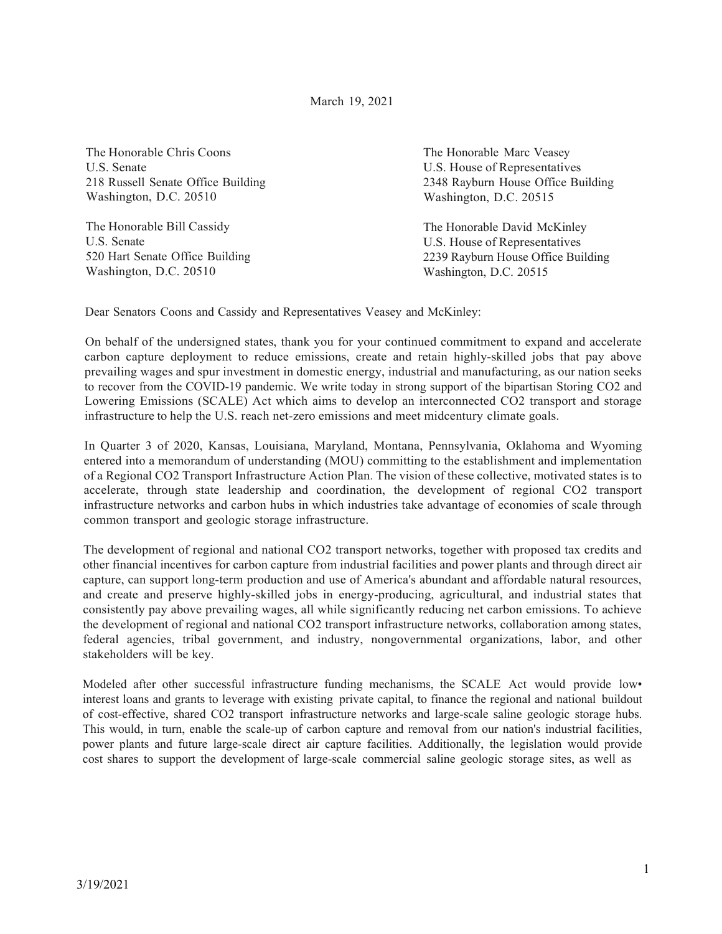March 19, 2021

The Honorable Chris Coons U.S. Senate 218 Russell Senate Office Building Washington, D.C. 20510

The Honorable Bill Cassidy U.S. Senate 520 Hart Senate Office Building Washington, D.C. 20510

The Honorable Marc Veasey U.S. House of Representatives 2348 Rayburn House Office Building Washington, D.C. 20515

The Honorable David McKinley U.S. House of Representatives 2239 Rayburn House Office Building Washington, D.C. 20515

Dear Senators Coons and Cassidy and Representatives Veasey and McKinley:

On behalf of the undersigned states, thank you for your continued commitment to expand and accelerate carbon capture deployment to reduce emissions, create and retain highly-skilled jobs that pay above prevailing wages and spur investment in domestic energy, industrial and manufacturing, as our nation seeks to recover from the COVID-19 pandemic. We write today in strong support of the bipartisan Storing CO2 and Lowering Emissions (SCALE) Act which aims to develop an interconnected CO2 transport and storage infrastructure to help the U.S. reach net-zero emissions and meet midcentury climate goals.

In Quarter 3 of 2020, Kansas, Louisiana, Maryland, Montana, Pennsylvania, Oklahoma and Wyoming entered into a memorandum of understanding (MOU) committing to the establishment and implementation of a Regional CO2 Transport Infrastructure Action Plan. The vision of these collective, motivated states is to accelerate, through state leadership and coordination, the development of regional CO2 transport infrastructure networks and carbon hubs in which industries take advantage of economies of scale through common transport and geologic storage infrastructure.

The development of regional and national CO2 transport networks, together with proposed tax credits and other financial incentives for carbon capture from industrial facilities and power plants and through direct air capture, can support long-term production and use of America's abundant and affordable natural resources, and create and preserve highly-skilled jobs in energy-producing, agricultural, and industrial states that consistently pay above prevailing wages, all while significantly reducing net carbon emissions. To achieve the development of regional and national CO2 transport infrastructure networks, collaboration among states, federal agencies, tribal government, and industry, nongovernmental organizations, labor, and other stakeholders will be key.

Modeled after other successful infrastructure funding mechanisms, the SCALE Act would provide low• interest loans and grants to leverage with existing private capital, to finance the regional and national buildout of cost-effective, shared CO2 transport infrastructure networks and large-scale saline geologic storage hubs. This would, in turn, enable the scale-up of carbon capture and removal from our nation's industrial facilities, power plants and future large-scale direct air capture facilities. Additionally, the legislation would provide cost shares to support the development of large-scale commercial saline geologic storage sites, as well as